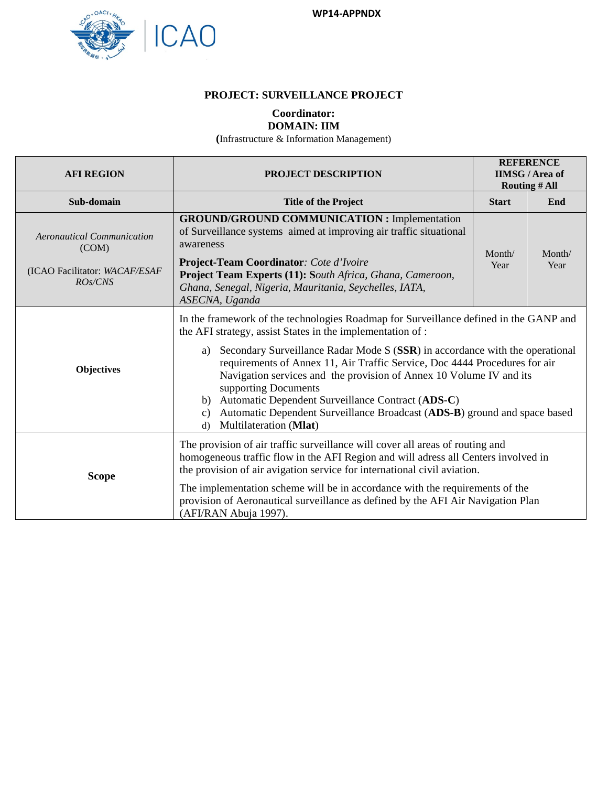

## **PROJECT: SURVEILLANCE PROJECT**

## **Coordinator: DOMAIN: IIM**

**(**Infrastructure & Information Management)

| <b>AFI REGION</b>                                                                      | PROJECT DESCRIPTION                                                                                                                                                                                                                                                                                                                                                                                                                                                                                                                                                                                            |                | <b>REFERENCE</b><br><b>IIMSG</b> / Area of<br><b>Routing # All</b> |  |
|----------------------------------------------------------------------------------------|----------------------------------------------------------------------------------------------------------------------------------------------------------------------------------------------------------------------------------------------------------------------------------------------------------------------------------------------------------------------------------------------------------------------------------------------------------------------------------------------------------------------------------------------------------------------------------------------------------------|----------------|--------------------------------------------------------------------|--|
| Sub-domain                                                                             | <b>Title of the Project</b>                                                                                                                                                                                                                                                                                                                                                                                                                                                                                                                                                                                    |                | End                                                                |  |
| <b>Aeronautical Communication</b><br>(COM)<br>(ICAO Facilitator: WACAF/ESAF<br>ROs/CNS | <b>GROUND/GROUND COMMUNICATION : Implementation</b><br>of Surveillance systems aimed at improving air traffic situational<br>awareness<br>Project-Team Coordinator: Cote d'Ivoire<br>Project Team Experts (11): South Africa, Ghana, Cameroon,<br>Ghana, Senegal, Nigeria, Mauritania, Seychelles, IATA,<br>ASECNA, Uganda                                                                                                                                                                                                                                                                                     | Month/<br>Year | Month/<br>Year                                                     |  |
| <b>Objectives</b>                                                                      | In the framework of the technologies Roadmap for Surveillance defined in the GANP and<br>the AFI strategy, assist States in the implementation of :<br>Secondary Surveillance Radar Mode S (SSR) in accordance with the operational<br>a)<br>requirements of Annex 11, Air Traffic Service, Doc 4444 Procedures for air<br>Navigation services and the provision of Annex 10 Volume IV and its<br>supporting Documents<br>Automatic Dependent Surveillance Contract (ADS-C)<br>b)<br>Automatic Dependent Surveillance Broadcast (ADS-B) ground and space based<br>c)<br>Multilateration (Mlat)<br>$\mathbf{d}$ |                |                                                                    |  |
| <b>Scope</b>                                                                           | The provision of air traffic surveillance will cover all areas of routing and<br>homogeneous traffic flow in the AFI Region and will adress all Centers involved in<br>the provision of air avigation service for international civil aviation.<br>The implementation scheme will be in accordance with the requirements of the<br>provision of Aeronautical surveillance as defined by the AFI Air Navigation Plan<br>(AFI/RAN Abuja 1997).                                                                                                                                                                   |                |                                                                    |  |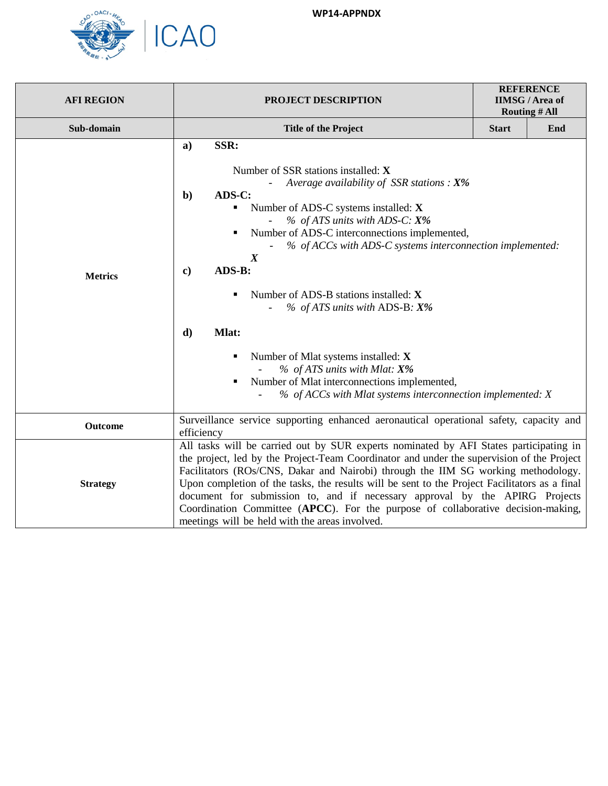

| <b>AFI REGION</b> | PROJECT DESCRIPTION                                                                                                                                                                                                                                                                                                                                                                                                                                                                                                                                                                                                                                                                 | <b>REFERENCE</b><br><b>IIMSG/Area of</b><br><b>Routing # All</b> |     |  |
|-------------------|-------------------------------------------------------------------------------------------------------------------------------------------------------------------------------------------------------------------------------------------------------------------------------------------------------------------------------------------------------------------------------------------------------------------------------------------------------------------------------------------------------------------------------------------------------------------------------------------------------------------------------------------------------------------------------------|------------------------------------------------------------------|-----|--|
| Sub-domain        | <b>Title of the Project</b>                                                                                                                                                                                                                                                                                                                                                                                                                                                                                                                                                                                                                                                         | <b>Start</b>                                                     | End |  |
| <b>Metrics</b>    | SSR:<br>a)<br>Number of SSR stations installed: X<br>Average availability of SSR stations : $X\%$<br>ADS-C:<br>$\mathbf{b}$<br>Number of ADS-C systems installed: X<br>٠<br>$%$ of ATS units with ADS-C: $X\%$<br>Number of ADS-C interconnections implemented,<br>٠<br>% of ACCs with ADS-C systems interconnection implemented:<br>$\boldsymbol{X}$<br>ADS-B:<br>$\bf c)$<br>Number of ADS-B stations installed: X<br>٠<br>$\%$ of ATS units with ADS-B: $X\%$<br>$\mathbf{d}$<br>Mlat:<br>Number of Mlat systems installed: X<br>٠<br>% of ATS units with Mlat: X%<br>Number of Mlat interconnections implemented,<br>% of ACCs with Mlat systems interconnection implemented: X |                                                                  |     |  |
| Outcome           | Surveillance service supporting enhanced aeronautical operational safety, capacity and<br>efficiency                                                                                                                                                                                                                                                                                                                                                                                                                                                                                                                                                                                |                                                                  |     |  |
| <b>Strategy</b>   | All tasks will be carried out by SUR experts nominated by AFI States participating in<br>the project, led by the Project-Team Coordinator and under the supervision of the Project<br>Facilitators (ROs/CNS, Dakar and Nairobi) through the IIM SG working methodology.<br>Upon completion of the tasks, the results will be sent to the Project Facilitators as a final<br>document for submission to, and if necessary approval by the APIRG Projects<br>Coordination Committee (APCC). For the purpose of collaborative decision-making,<br>meetings will be held with the areas involved.                                                                                       |                                                                  |     |  |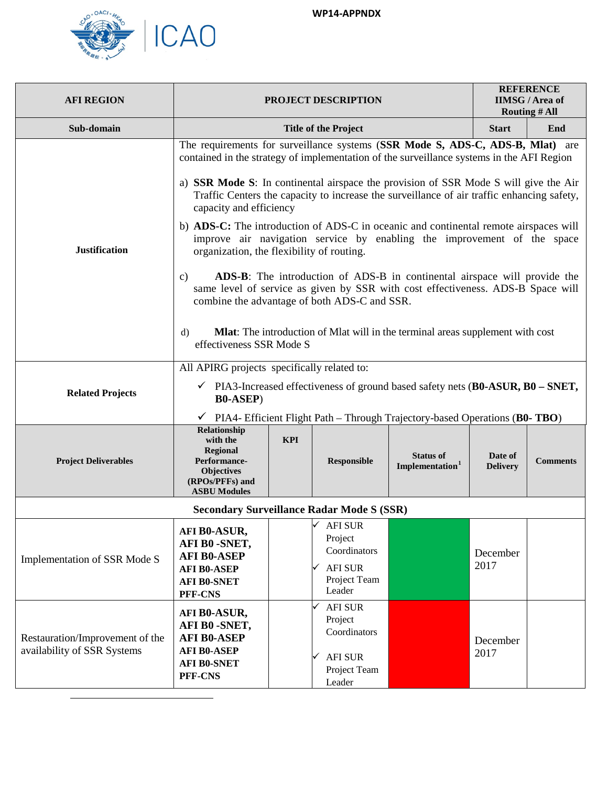

<span id="page-2-0"></span>

| <b>AFI REGION</b>                                              |                                                                                                                                                                                                                                                                                                                                                                                                                                           |            | PROJECT DESCRIPTION                                                                        |                                                                                                                                                                                                                                                                                                                                               |                            | <b>REFERENCE</b><br><b>IIMSG/Area of</b><br><b>Routing # All</b> |
|----------------------------------------------------------------|-------------------------------------------------------------------------------------------------------------------------------------------------------------------------------------------------------------------------------------------------------------------------------------------------------------------------------------------------------------------------------------------------------------------------------------------|------------|--------------------------------------------------------------------------------------------|-----------------------------------------------------------------------------------------------------------------------------------------------------------------------------------------------------------------------------------------------------------------------------------------------------------------------------------------------|----------------------------|------------------------------------------------------------------|
| Sub-domain                                                     |                                                                                                                                                                                                                                                                                                                                                                                                                                           |            | <b>Title of the Project</b>                                                                |                                                                                                                                                                                                                                                                                                                                               | <b>Start</b>               | End                                                              |
| <b>Justification</b>                                           | The requirements for surveillance systems (SSR Mode S, ADS-C, ADS-B, Mlat) are<br>contained in the strategy of implementation of the surveillance systems in the AFI Region<br>a) SSR Mode S: In continental airspace the provision of SSR Mode S will give the Air<br>capacity and efficiency<br>b) ADS-C: The introduction of ADS-C in oceanic and continental remote airspaces will<br>organization, the flexibility of routing.<br>c) |            |                                                                                            | Traffic Centers the capacity to increase the surveillance of air traffic enhancing safety,<br>improve air navigation service by enabling the improvement of the space<br><b>ADS-B</b> : The introduction of ADS-B in continental airspace will provide the<br>same level of service as given by SSR with cost effectiveness. ADS-B Space will |                            |                                                                  |
|                                                                | combine the advantage of both ADS-C and SSR.<br><b>Mlat:</b> The introduction of Mlat will in the terminal areas supplement with cost<br>d)<br>effectiveness SSR Mode S                                                                                                                                                                                                                                                                   |            |                                                                                            |                                                                                                                                                                                                                                                                                                                                               |                            |                                                                  |
| <b>Related Projects</b>                                        | All APIRG projects specifically related to:<br>$\checkmark$ PIA3-Increased effectiveness of ground based safety nets (B0-ASUR, B0 – SNET,<br><b>B0-ASEP</b> )<br>PIA4- Efficient Flight Path – Through Trajectory-based Operations (B0-TBO)                                                                                                                                                                                               |            |                                                                                            |                                                                                                                                                                                                                                                                                                                                               |                            |                                                                  |
| <b>Project Deliverables</b>                                    | Relationship<br>with the<br>Regional<br>Performance-<br>Objectives<br>(RPOs/PFFs) and<br><b>ASBU Modules</b>                                                                                                                                                                                                                                                                                                                              | <b>KPI</b> | Responsible                                                                                | <b>Status of</b><br>Implementation <sup>1</sup>                                                                                                                                                                                                                                                                                               | Date of<br><b>Delivery</b> | <b>Comments</b>                                                  |
|                                                                | <b>Secondary Surveillance Radar Mode S (SSR)</b>                                                                                                                                                                                                                                                                                                                                                                                          |            |                                                                                            |                                                                                                                                                                                                                                                                                                                                               |                            |                                                                  |
| Implementation of SSR Mode S                                   | AFI B0-ASUR,<br>AFI B0-SNET,<br><b>AFI B0-ASEP</b><br><b>AFI B0-ASEP</b><br><b>AFI B0-SNET</b><br>PFF-CNS                                                                                                                                                                                                                                                                                                                                 |            | ∨<br><b>AFI SUR</b><br>Project<br>Coordinators<br><b>AFI SUR</b><br>Project Team<br>Leader |                                                                                                                                                                                                                                                                                                                                               | December<br>2017           |                                                                  |
| Restauration/Improvement of the<br>availability of SSR Systems | AFI B0-ASUR,<br>AFI B0-SNET,<br><b>AFI B0-ASEP</b><br><b>AFI B0-ASEP</b><br><b>AFI B0-SNET</b><br>PFF-CNS                                                                                                                                                                                                                                                                                                                                 |            | <b>AFI SUR</b><br>Project<br>Coordinators<br><b>AFI SUR</b><br>Project Team<br>Leader      |                                                                                                                                                                                                                                                                                                                                               | December<br>2017           |                                                                  |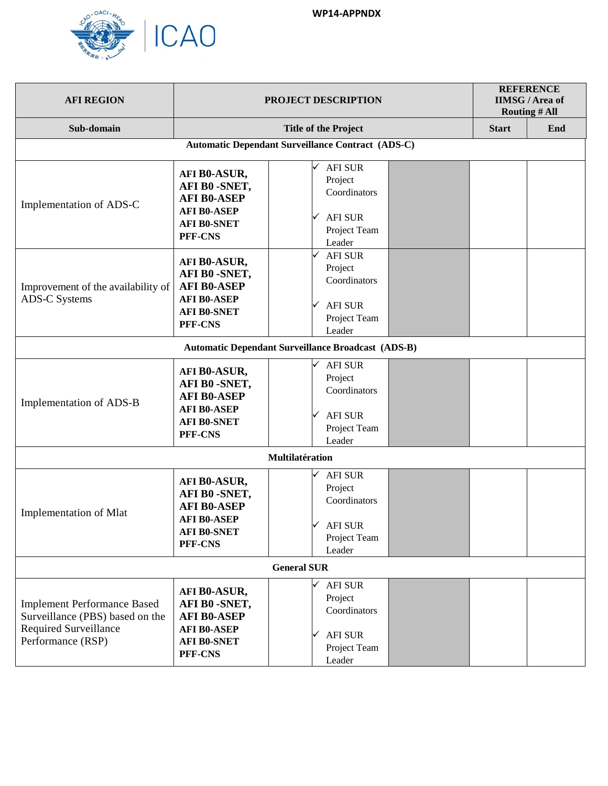

| <b>AFI REGION</b>                                                                                                          | <b>PROJECT DESCRIPTION</b>                                                                                |                                                                                             | <b>REFERENCE</b><br><b>IIMSG/Area of</b><br><b>Routing # All</b> |  |  |  |
|----------------------------------------------------------------------------------------------------------------------------|-----------------------------------------------------------------------------------------------------------|---------------------------------------------------------------------------------------------|------------------------------------------------------------------|--|--|--|
| Sub-domain                                                                                                                 |                                                                                                           | <b>Start</b>                                                                                | End                                                              |  |  |  |
| <b>Automatic Dependant Surveillance Contract (ADS-C)</b>                                                                   |                                                                                                           |                                                                                             |                                                                  |  |  |  |
| Implementation of ADS-C                                                                                                    | AFI B0-ASUR,<br>AFI B0-SNET,<br><b>AFI B0-ASEP</b><br><b>AFI B0-ASEP</b><br><b>AFI B0-SNET</b><br>PFF-CNS | <b>AFI SUR</b><br>Project<br>Coordinators<br><b>AFI SUR</b><br>✓<br>Project Team<br>Leader  |                                                                  |  |  |  |
| Improvement of the availability of<br><b>ADS-C Systems</b>                                                                 | AFI B0-ASUR,<br>AFI B0-SNET,<br><b>AFI B0-ASEP</b><br><b>AFI B0-ASEP</b><br><b>AFI B0-SNET</b><br>PFF-CNS | <b>AFI SUR</b><br>Project<br>Coordinators<br><b>AFI SUR</b><br>Project Team<br>Leader       |                                                                  |  |  |  |
|                                                                                                                            |                                                                                                           | <b>Automatic Dependant Surveillance Broadcast (ADS-B)</b>                                   |                                                                  |  |  |  |
| Implementation of ADS-B                                                                                                    | AFI B0-ASUR,<br>AFI B0-SNET,<br><b>AFI B0-ASEP</b><br><b>AFI B0-ASEP</b><br><b>AFI B0-SNET</b><br>PFF-CNS | <b>AFI SUR</b><br>Project<br>Coordinators<br><b>AFI SUR</b><br>Project Team<br>Leader       |                                                                  |  |  |  |
|                                                                                                                            |                                                                                                           | Multilatération                                                                             |                                                                  |  |  |  |
| Implementation of Mlat                                                                                                     | AFI B0-ASUR,<br>AFI B0-SNET,<br><b>AFI B0-ASEP</b><br><b>AFI B0-ASEP</b><br>AFI B0-SNET<br>PFF-CNS        | <b>AFI SUR</b><br>Project<br>Coordinators<br>$\checkmark$ AFI SUR<br>Project Team<br>Leader |                                                                  |  |  |  |
|                                                                                                                            | <b>General SUR</b>                                                                                        |                                                                                             |                                                                  |  |  |  |
| <b>Implement Performance Based</b><br>Surveillance (PBS) based on the<br><b>Required Surveillance</b><br>Performance (RSP) | AFI B0-ASUR,<br>AFI B0-SNET,<br><b>AFI B0-ASEP</b><br><b>AFI B0-ASEP</b><br><b>AFI B0-SNET</b><br>PFF-CNS | <b>AFI SUR</b><br>Project<br>Coordinators<br><b>AFI SUR</b><br>✓<br>Project Team<br>Leader  |                                                                  |  |  |  |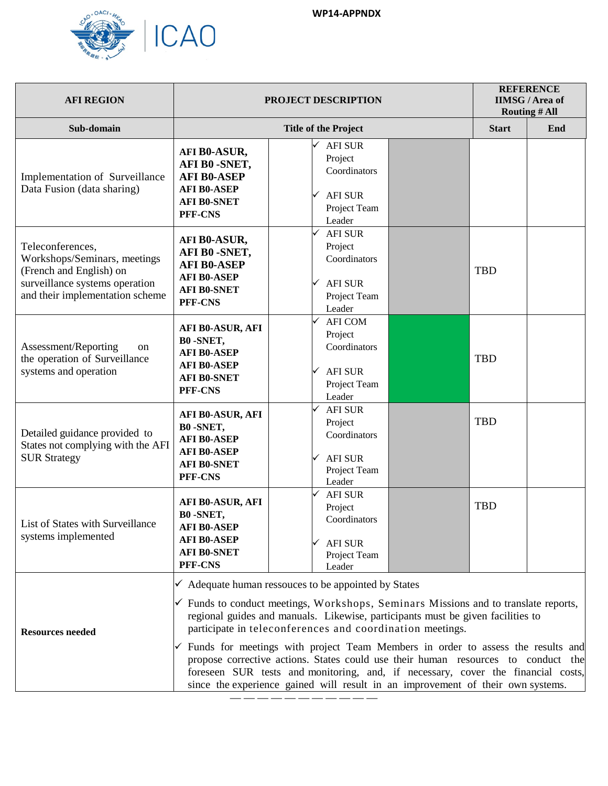

| <b>AFI REGION</b>                                                                                                                                |                                                                                                                  | PROJECT DESCRIPTION                                                                                                                                                                                                                                                                                                                                                                                                                                                                                                                                                                                                                                                           |              | <b>REFERENCE</b><br><b>IIMSG/Area of</b><br><b>Routing # All</b> |
|--------------------------------------------------------------------------------------------------------------------------------------------------|------------------------------------------------------------------------------------------------------------------|-------------------------------------------------------------------------------------------------------------------------------------------------------------------------------------------------------------------------------------------------------------------------------------------------------------------------------------------------------------------------------------------------------------------------------------------------------------------------------------------------------------------------------------------------------------------------------------------------------------------------------------------------------------------------------|--------------|------------------------------------------------------------------|
| Sub-domain                                                                                                                                       |                                                                                                                  | <b>Title of the Project</b>                                                                                                                                                                                                                                                                                                                                                                                                                                                                                                                                                                                                                                                   | <b>Start</b> | End                                                              |
| Implementation of Surveillance<br>Data Fusion (data sharing)                                                                                     | AFI B0-ASUR,<br>AFI B0-SNET,<br><b>AFI B0-ASEP</b><br><b>AFI B0-ASEP</b><br><b>AFI B0-SNET</b><br>PFF-CNS        | <b>AFI SUR</b><br>Project<br>Coordinators<br><b>AFI SUR</b><br>Project Team<br>Leader                                                                                                                                                                                                                                                                                                                                                                                                                                                                                                                                                                                         |              |                                                                  |
| Teleconferences,<br>Workshops/Seminars, meetings<br>(French and English) on<br>surveillance systems operation<br>and their implementation scheme | AFI B0-ASUR,<br>AFI B0-SNET,<br><b>AFI B0-ASEP</b><br><b>AFI B0-ASEP</b><br><b>AFI B0-SNET</b><br>PFF-CNS        | <b>AFI SUR</b><br>Project<br>Coordinators<br><b>AFI SUR</b><br>Project Team<br>Leader                                                                                                                                                                                                                                                                                                                                                                                                                                                                                                                                                                                         | <b>TBD</b>   |                                                                  |
| Assessment/Reporting<br>on<br>the operation of Surveillance<br>systems and operation                                                             | <b>AFI B0-ASUR, AFI</b><br>B0-SNET,<br><b>AFI B0-ASEP</b><br><b>AFI B0-ASEP</b><br><b>AFI B0-SNET</b><br>PFF-CNS | <b>AFI COM</b><br>Project<br>Coordinators<br><b>AFI SUR</b><br>Project Team<br>Leader                                                                                                                                                                                                                                                                                                                                                                                                                                                                                                                                                                                         | <b>TBD</b>   |                                                                  |
| Detailed guidance provided to<br>States not complying with the AFI<br><b>SUR Strategy</b>                                                        | <b>AFI B0-ASUR, AFI</b><br>B0-SNET,<br><b>AFI B0-ASEP</b><br><b>AFI B0-ASEP</b><br><b>AFI B0-SNET</b><br>PFF-CNS | ✓<br><b>AFI SUR</b><br>Project<br>Coordinators<br><b>AFI SUR</b><br>Project Team<br>Leader                                                                                                                                                                                                                                                                                                                                                                                                                                                                                                                                                                                    | <b>TBD</b>   |                                                                  |
| List of States with Surveillance<br>systems implemented                                                                                          | <b>AFI B0-ASUR, AFI</b><br>B0-SNET,<br><b>AFI B0-ASEP</b><br><b>AFI B0-ASEP</b><br><b>AFI B0-SNET</b><br>PFF-CNS | <b>AFI SUR</b><br>Project<br>Coordinators<br><b>AFI SUR</b><br>Project Team<br>Leader                                                                                                                                                                                                                                                                                                                                                                                                                                                                                                                                                                                         | <b>TBD</b>   |                                                                  |
| <b>Resources needed</b>                                                                                                                          |                                                                                                                  | $\checkmark$ Adequate human ressouces to be appointed by States<br>$\checkmark$ Funds to conduct meetings, Workshops, Seminars Missions and to translate reports,<br>regional guides and manuals. Likewise, participants must be given facilities to<br>participate in teleconferences and coordination meetings.<br>$\checkmark$ Funds for meetings with project Team Members in order to assess the results and<br>propose corrective actions. States could use their human resources to conduct the<br>foreseen SUR tests and monitoring, and, if necessary, cover the financial costs,<br>since the experience gained will result in an improvement of their own systems. |              |                                                                  |